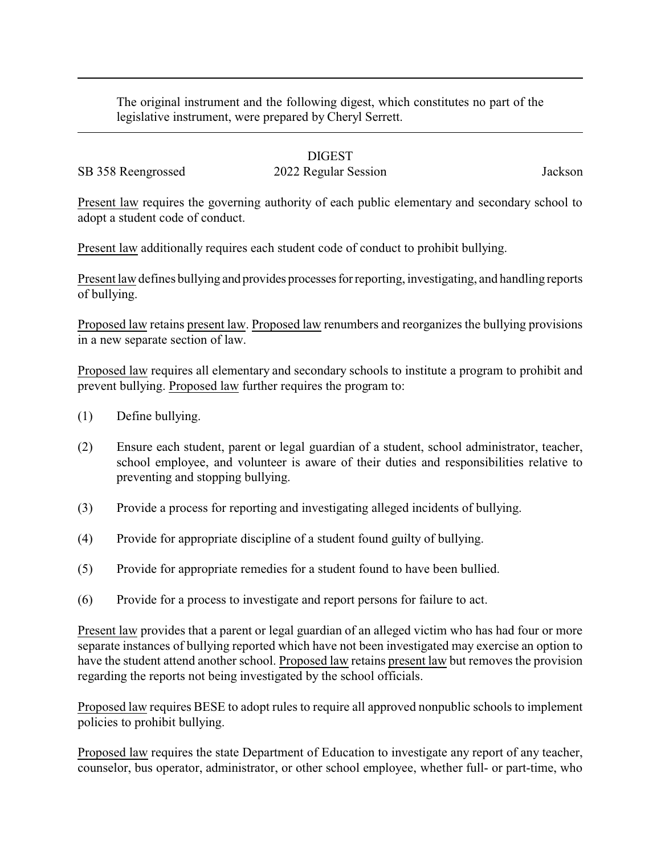The original instrument and the following digest, which constitutes no part of the legislative instrument, were prepared by Cheryl Serrett.

## DIGEST

SB 358 Reengrossed 2022 Regular Session Jackson

Present law requires the governing authority of each public elementary and secondary school to adopt a student code of conduct.

Present law additionally requires each student code of conduct to prohibit bullying.

Present law defines bullying and provides processes for reporting, investigating, and handling reports of bullying.

Proposed law retains present law. Proposed law renumbers and reorganizes the bullying provisions in a new separate section of law.

Proposed law requires all elementary and secondary schools to institute a program to prohibit and prevent bullying. Proposed law further requires the program to:

- (1) Define bullying.
- (2) Ensure each student, parent or legal guardian of a student, school administrator, teacher, school employee, and volunteer is aware of their duties and responsibilities relative to preventing and stopping bullying.
- (3) Provide a process for reporting and investigating alleged incidents of bullying.
- (4) Provide for appropriate discipline of a student found guilty of bullying.
- (5) Provide for appropriate remedies for a student found to have been bullied.
- (6) Provide for a process to investigate and report persons for failure to act.

Present law provides that a parent or legal guardian of an alleged victim who has had four or more separate instances of bullying reported which have not been investigated may exercise an option to have the student attend another school. Proposed law retains present law but removes the provision regarding the reports not being investigated by the school officials.

Proposed law requires BESE to adopt rules to require all approved nonpublic schools to implement policies to prohibit bullying.

Proposed law requires the state Department of Education to investigate any report of any teacher, counselor, bus operator, administrator, or other school employee, whether full- or part-time, who